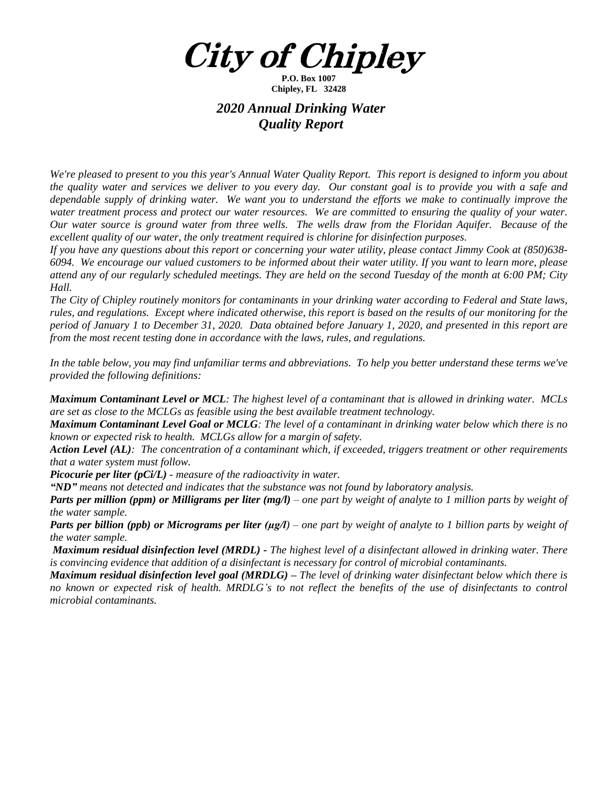**City of Chipley** 

**P.O. Box 1007 Chipley, FL 32428**

## *2020 Annual Drinking Water Quality Report*

We're pleased to present to you this year's Annual Water Quality Report. This report is designed to inform you about the quality water and services we deliver to you every day. Our constant goal is to provide you with a safe and dependable supply of drinking water. We want you to understand the efforts we make to continually improve the water treatment process and protect our water resources. We are committed to ensuring the quality of your water. Our water source is ground water from three wells. The wells draw from the Floridan Aquifer. Because of the *excellent quality of our water, the only treatment required is chlorine for disinfection purposes.*

If you have any questions about this report or concerning your water utility, please contact Jimmy Cook at  $(850)638$ -6094. We encourage our valued customers to be informed about their water utility. If you want to learn more, please attend any of our regularly scheduled meetings. They are held on the second Tuesday of the month at 6:00 PM; City *Hall.*

The City of Chipley routinely monitors for contaminants in your drinking water according to Federal and State laws, rules, and regulations. Except where indicated otherwise, this report is based on the results of our monitoring for the period of January 1 to December 31, 2020. Data obtained before January 1, 2020, and presented in this report are *from the most recent testing done in accordance with the laws, rules, and regulations.* 

In the table below, you may find unfamiliar terms and abbreviations. To help you better understand these terms we've *provided the following definitions:*

**Maximum Contaminant Level or MCL:** The highest level of a contaminant that is allowed in drinking water. MCLs *are set as close to the MCLGs as feasible using the best available treatment technology.*

**Maximum Contaminant Level Goal or MCLG**: The level of a contaminant in drinking water below which there is no *known or expected risk to health. MCLGs allow for a margin of safety.*

Action Level (AL): The concentration of a contaminant which, if exceeded, triggers treatment or other requirements *that a water system must follow.*

*Picocurie per liter (pCi/L) - measure of the radioactivity in water.*

*"ND" means not detected and indicates that the substance was not found by laboratory analysis.*

**Parts per million (ppm) or Milligrams per liter (mg/l)** – one part by weight of analyte to 1 million parts by weight of *the water sample.*

**Parts per billion (ppb) or Micrograms per liter (ug/l)** – one part by weight of analyte to 1 billion parts by weight of *the water sample.*

**Maximum residual disinfection level (MRDL)** - The highest level of a disinfectant allowed in drinking water. There *is convincing evidence that addition of a disinfectant is necessary for control of microbial contaminants.* 

**Maximum residual disinfection level goal (MRDLG)** – The level of drinking water disinfectant below which there is no known or expected risk of health. MRDLG's to not reflect the benefits of the use of disinfectants to control *microbial contaminants.*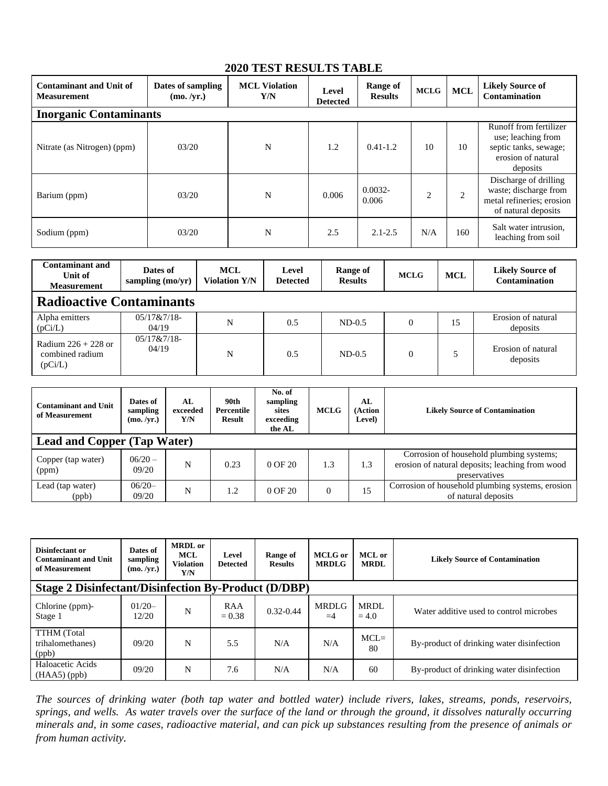## **2020 TEST RESULTS TABLE**

| <b>Contaminant and Unit of</b><br><b>Measurement</b> | Dates of sampling<br>(mo. /yr.) | <b>MCL Violation</b><br>Y/N | Level<br><b>Detected</b> | Range of<br><b>Results</b> | <b>MCLG</b>    | <b>MCL</b>     | <b>Likely Source of</b><br><b>Contamination</b>                                                         |  |  |  |
|------------------------------------------------------|---------------------------------|-----------------------------|--------------------------|----------------------------|----------------|----------------|---------------------------------------------------------------------------------------------------------|--|--|--|
| <b>Inorganic Contaminants</b>                        |                                 |                             |                          |                            |                |                |                                                                                                         |  |  |  |
| Nitrate (as Nitrogen) (ppm)                          | 03/20                           | N                           | 1.2                      | $0.41 - 1.2$               | 10             | 10             | Runoff from fertilizer<br>use; leaching from<br>septic tanks, sewage;<br>erosion of natural<br>deposits |  |  |  |
| Barium (ppm)                                         | 03/20                           | N                           | 0.006                    | $0.0032 -$<br>0.006        | $\overline{c}$ | $\overline{c}$ | Discharge of drilling<br>waste; discharge from<br>metal refineries; erosion<br>of natural deposits      |  |  |  |
| Sodium (ppm)                                         | 03/20                           | N                           | 2.5                      | $2.1 - 2.5$                | N/A            | 160            | Salt water intrusion,<br>leaching from soil                                                             |  |  |  |

| <b>Contaminant and</b><br>Unit of<br><b>Measurement</b> | Dates of<br>sampling $(mo/yr)$ | <b>MCL</b><br><b>Violation Y/N</b> | Level<br><b>Detected</b> | Range of<br><b>Results</b> | <b>MCLG</b> | <b>MCL</b> | <b>Likely Source of</b><br><b>Contamination</b> |  |  |  |
|---------------------------------------------------------|--------------------------------|------------------------------------|--------------------------|----------------------------|-------------|------------|-------------------------------------------------|--|--|--|
| <b>Radioactive Contaminants</b>                         |                                |                                    |                          |                            |             |            |                                                 |  |  |  |
| Alpha emitters<br>(pCi/L)                               | 05/17 & 7/18<br>04/19          | N                                  | 0.5                      | $ND-0.5$                   | 0           | 15         | Erosion of natural<br>deposits                  |  |  |  |
| Radium $226 + 228$ or<br>combined radium<br>(pCi/L)     | $05/17&7/18-$<br>04/19         | N                                  | 0.5                      | $ND-0.5$                   |             |            | Erosion of natural<br>deposits                  |  |  |  |

| <b>Contaminant and Unit</b><br>of Measurement | Dates of<br>sampling<br>(mo. /yr.) | AI.<br>exceeded<br>Y/N | 90th<br>Percentile<br>Result | No. of<br>sampling<br>sites<br>exceeding<br>the AL | <b>MCLG</b> | AL<br>(Action<br>Level) | <b>Likely Source of Contamination</b>                                                                        |  |  |
|-----------------------------------------------|------------------------------------|------------------------|------------------------------|----------------------------------------------------|-------------|-------------------------|--------------------------------------------------------------------------------------------------------------|--|--|
| <b>Lead and Copper (Tap Water)</b>            |                                    |                        |                              |                                                    |             |                         |                                                                                                              |  |  |
| Copper (tap water)<br>(ppm)                   | $06/20 -$<br>09/20                 | N                      | 0.23                         | $0$ OF $20$                                        | 1.3         | 1.3                     | Corrosion of household plumbing systems;<br>erosion of natural deposits; leaching from wood<br>preservatives |  |  |
| Lead (tap water)<br>(ppb)                     | $06/20-$<br>09/20                  | N                      | 1.2                          | $0$ OF $20$                                        | $\Omega$    | 15                      | Corrosion of household plumbing systems, erosion<br>of natural deposits                                      |  |  |

| Disinfectant or<br><b>Contaminant and Unit</b><br>of Measurement | Dates of<br>sampling<br>(mo. /yr.) | <b>MRDL</b> or<br><b>MCL</b><br><b>Violation</b><br>Y/N | Level<br><b>Detected</b> | Range of<br><b>Results</b> | <b>MCLG</b> or<br><b>MRDLG</b> | <b>MCL</b> or<br><b>MRDL</b> | <b>Likely Source of Contamination</b>     |  |  |
|------------------------------------------------------------------|------------------------------------|---------------------------------------------------------|--------------------------|----------------------------|--------------------------------|------------------------------|-------------------------------------------|--|--|
| <b>Stage 2 Disinfectant/Disinfection By-Product (D/DBP)</b>      |                                    |                                                         |                          |                            |                                |                              |                                           |  |  |
| Chlorine (ppm)-<br>Stage 1                                       | $01/20-$<br>12/20                  | N                                                       | RAA<br>$= 0.38$          | $0.32 - 0.44$              | <b>MRDLG</b><br>$=4$           | <b>MRDL</b><br>$= 4.0$       | Water additive used to control microbes   |  |  |
| <b>TTHM</b> (Total<br>trihalomethanes)<br>(ppb)                  | 09/20                              | N                                                       | 5.5                      | N/A                        | N/A                            | $MCL =$<br>80                | By-product of drinking water disinfection |  |  |
| Haloacetic Acids<br>$(HAA5)$ (ppb)                               | 09/20                              | N                                                       | 7.6                      | N/A                        | N/A                            | 60                           | By-product of drinking water disinfection |  |  |

The sources of drinking water (both tap water and bottled water) include rivers, lakes, streams, ponds, reservoirs, springs, and wells. As water travels over the surface of the land or through the ground, it dissolves naturally occurring minerals and, in some cases, radioactive material, and can pick up substances resulting from the presence of animals or *from human activity.*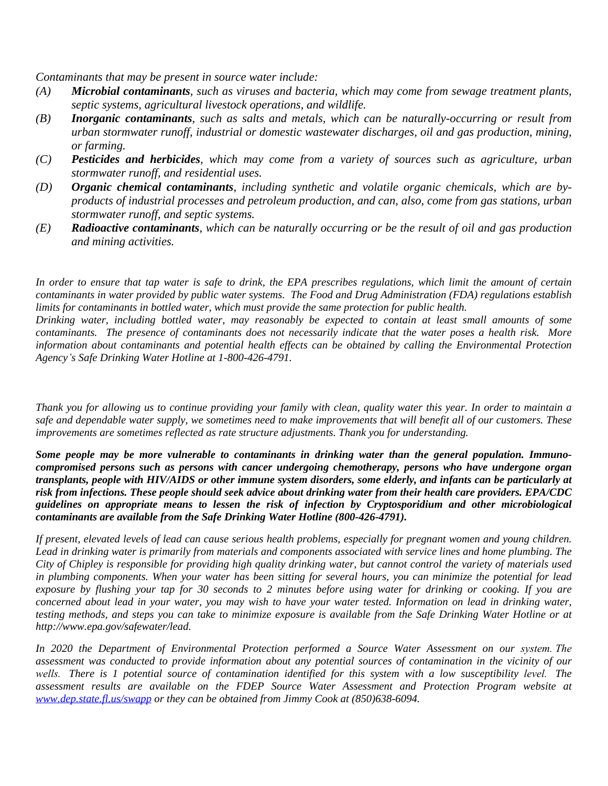*Contaminants that may be present in source water include:*

- *(A) Microbial contaminants, such as viruses and bacteria, which may come from sewage treatment plants, septic systems, agricultural livestock operations, and wildlife.*
- *(B) Inorganic contaminants*, *such as salts and metals, which can be naturally-occurring or result from urban stormwater runoff, industrial or domestic wastewater discharges, oil and gas production, mining, or farming.*
- *(C) Pesticides and herbicides, which may come from a variety of sources such as agriculture, urban stormwater runoff, and residential uses.*
- *(D) Organic chemical contaminants*, *including synthetic and volatile organic chemicals, which are byproducts of industrial processes and petroleum production, and can, also, come from gas stations, urban stormwater runoff, and septic systems.*
- *(E) Radioactive contaminants*, *which can be naturally occurring or be the result of oil and gas production and mining activities.*

In order to ensure that tap water is safe to drink, the EPA prescribes regulations, which limit the amount of certain contaminants in water provided by public water systems. The Food and Drug Administration (FDA) regulations establish *limits for contaminants in bottled water, which must provide the same protection for public health.*

Drinking water, including bottled water, may reasonably be expected to contain at least small amounts of some contaminants. The presence of contaminants does not necessarily indicate that the water poses a health risk. More *information about contaminants and potential health effects can be obtained by calling the Environmental Protection Agency's Safe Drinking Water Hotline at 1-800-426-4791.*

Thank you for allowing us to continue providing your family with clean, quality water this year. In order to maintain a safe and dependable water supply, we sometimes need to make improvements that will benefit all of our customers. These *improvements are sometimes reflected as rate structure adjustments. Thank you for understanding.*

*Some people may be more vulnerable to contaminants in drinking water than the general population. Immunocompromised persons such as persons with cancer undergoing chemotherapy, persons who have undergone organ* transplants, people with HIV/AIDS or other immune system disorders, some elderly, and infants can be particularly at risk from infections. These people should seek advice about drinking water from their health care providers. EPA/CDC *guidelines on appropriate means to lessen the risk of infection by Cryptosporidium and other microbiological contaminants are available from the Safe Drinking Water Hotline (800-426-4791).*

If present, elevated levels of lead can cause serious health problems, especially for pregnant women and young children. Lead in drinking water is primarily from materials and components associated with service lines and home plumbing. The City of Chipley is responsible for providing high quality drinking water, but cannot control the variety of materials used in plumbing components. When your water has been sitting for several hours, you can minimize the potential for lead exposure by flushing your tap for 30 seconds to 2 minutes before using water for drinking or cooking. If you are concerned about lead in your water, you may wish to have your water tested. Information on lead in drinking water, testing methods, and steps you can take to minimize exposure is available from the Safe Drinking Water Hotline or at *http://www.epa.gov/safewater/lead.*

*In 2020 the Department of Environmental Protection performed a Source Water Assessment on our system. The* assessment was conducted to provide information about any potential sources of contamination in the vicinity of our wells. There is 1 potential source of contamination identified for this system with a low susceptibility level. The *assessment results are available on the FDEP Source Water Assessment and Protection Program website at [www.dep.state.fl.us/swapp](http://www.dep.state.fl.us/swapp) or they can be obtained from Jimmy Cook at (850)638-6094.*